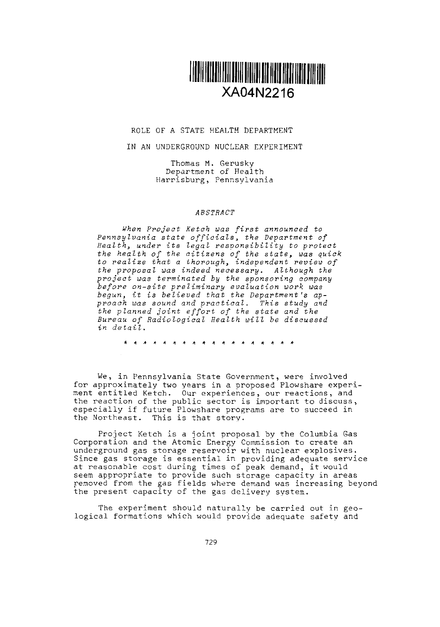

## ROLE OF A STATE HEALTH DEPARTMENT

## IN AN UNDERGROUND NUCLEAR EXPERIMENT

Thomas M. Gerusky Department of Health Harrisburg, Pennsylvania

## *ABSTRACT*

*When Project Ketch was first announced to Pennsylvania state officials, the Department of* Health, under *its egal responsibility to protect* the health *of the citizens of the state, was quick* to realize that *a thorough, indevendent review of the proposal was indeed necessary.* Although the *project was terminated by the sponsoring company before on-site preliminary evaluation work was begun, it is believed that the Department's approach was sound and practical. This study* and the planned *joint effort of the state* and the *Bureau of adiological ealth will be discussed* in detail.

\* \* \* \* \* \* \* \* \* \* \* \* \* \* \* \* \* \*

We, in Pennsylvania State Government, were involved<br>for approximately two years in a proposed Plowshare experiment entitled Ketch. Our experiences, our reactions, and the reaction of the public sector is important to discuss, especially if future Plowshare programs are to succeed in the Northeast. This is that story.

Project Ketch is a joint proposal by the Columbia Gas Corporation and the Atomic Energy Commission to create an underground gas storage reservoir with nuclear explosives. Since gas storage is essential in providing adequate service at reasonable cost during times of peak demand, it would seem appropriate to provide such storage capacity in areas removed from the gas fields where demand was increasing beyond the present capacity of the gas delivery system.

The experiment should naturally be carried out in geological formations which would provide adequate safety and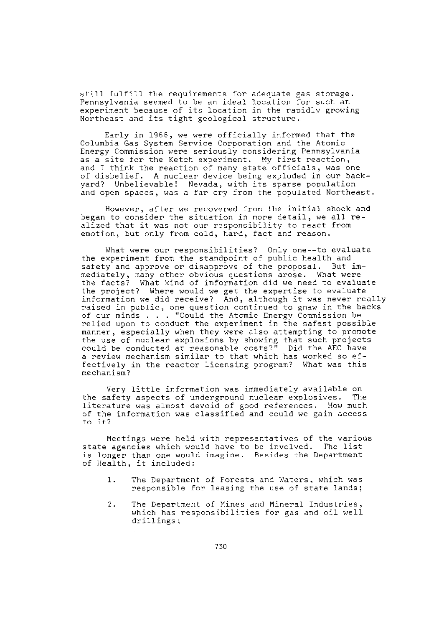still fulfill the requirements for adequate gas storage. Pennsylvania seemed to be an ideal location for such an experiment because of its location in the rapidly growing Northeast and its tight geological structure.

Early in 1966, we were officially informed that the Columbia Gas System Service Corporation and the Atomic Energy Commission were seriously considering Pennsylvania as a site for the Ketch experiment. My first reaction, and I think the reaction of many state officials, was one of disbelief. A nuclear device being exploded in our backyard? Unbelievable! Nevada, with its sparse population and open spaces, was a far cry from the populated Northeast.

However, after we recovered from the initial shock and began to consider the situation in more detail, we all realized that it was not our responsibility to react from emotion, but only from cold, hard, fact and reason.

What were our responsibilities? Only one--to evaluate the experiment from the standpoint of public health and safety and approve or disapprove of the proposal. But immediately, many other obvious questions arose. What were the facts? What kind of information did we need to evaluate the project? Where would we get the expertise to evaluate information we did receive? And, although it was never really raised in public, one question continued to gnaw in the backs of cur minds . . "Could the Atomic Energy Cmmission be relied upon to conduct the experiment in the safest possible manner, especially when they were also attempting to promote the use of nuclear explosions by showing that such projects could be conducted at reasonable costs?" Did the AEC have a review mechanism similar to that which has worked so effectively in the reactor licensing program? What was this mechanism?

Very little information was immediately available on the safety aspects of underground nuclear explosives. Th<br>literature was almost devoid of good references. How muc of the information was classified and could we gain access to it?

Meetings were held with representatives of the various state agencies which would have to be involved. The list is longer than one would imagine. Besides the Department of Health, it included:

- 1. The Department of Forests and Waters, which was responsible for leasing the use of state lands;
- 2. The Department of Mines and Mineral Industries, which has responsibilities for gas and oil well drillings;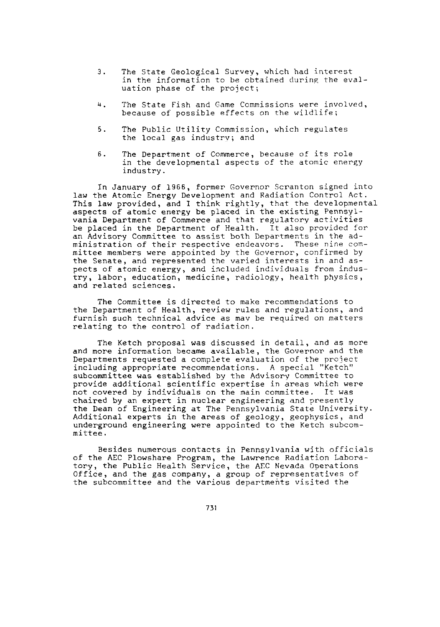- 3. The State Geological Survey, which had interest in the information to be obtained during the evaluation phase of the project;
- 4. The State Fish and Game Commissions were involved, because of possible effects on the wildlife;
- 5. The Public Utility Commission, which regulates the local gas industry; and
- 6. The Department of Commerce, because of its role in the developmental aspects of the atomic energy industry.

In January of 1966, former Governor Scranton signed into law the Atomic Energy Development and Radiation Control Act. This law provided, and I think rightly, that the developmental aspects of atomic energy be placed in the existing Pennsylvania Department of Commerce and that regulatory activities be placed in the Department of Health. It also provided for an Advisory Committee to assist both Departments in the administration of their respective endeavors. These nine committee members were appointed by the Governor, confirmed by the Senate, and represented the varied interests in and aspects of atomic energy, and included individuals from industry, labor, education, medicine, radiology, health physics, and related sciences.

The Committee is directed to make recommendations to the Department of Health, review rules and regulations, and furnish such technical advice as may be required on matters relating to the control of radiation.

The Ketch proposal was discussed in detail, and as more and more information became available, the Governor and the Departments requested a complete evaluation of the project including appropriate recommendations. A special "Ketch" subcommittee was established by the Advisory Committee to provide additional scientific expertise in areas which were not covered by individuals on the main committee. It was chaired by an expert in nuclear engineering and presently the Dean of Engineering at The Pennsylvania State University. Additional experts in the areas of geology, geophysics, and underground engineering were appointed to the Ketch subcommittee.

Besides numerous contacts in Pennsylvania with officials of the AEC Plowshare Program, the Lawrence Radiation Laboratory, the Public Health Service, the AEC Nevada Operations Office, and the gas company, a group of representatives of the subcommittee and the various departments visited the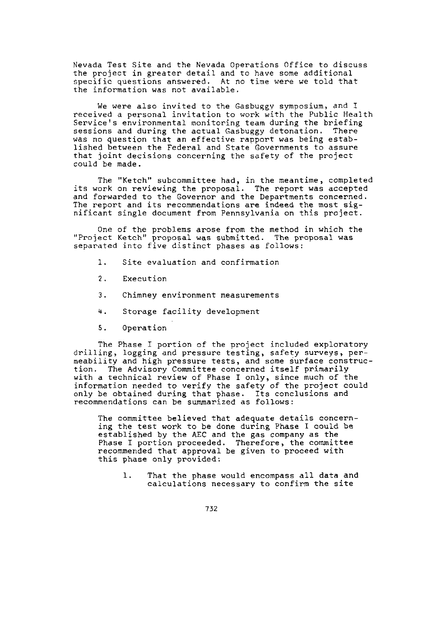Nevada Test Site and the Nevada Operations Office to discuss the project in greater detail and to have some additional specific questions answered. At no time were we told that the information was not available.

We were also invited to the Gasbuggy Symposium, and I received a personal invitation to work with the Public Health Service's environmental monitoring team during the briefing sessions and during the actual Gasbuggy detonation. There was no question that an effective rapport was being established between the Federal and State Governments to assure that joint decisions concerning the safety of the project could be made.

The "Ketch" subcommittee had, in the meantime, completed its work on reviewing the proposal. The report was accepted<br>and forwarded to the Governor and the Departments concerned. The report and its recommendations are indeed the most significant single document from Pennsylvania on this project.

One of the problems arose from the method in which the "Project Ketch" proposal was submitted. The proposal was separated into five distinct phases as follows:

- 1. Site evaluation and confirmation
- 2. Execution
- 3. Chimney environment measurements
- 4. Storage facility development
- S. Operation

The Phase I portion of the project included exploratory drilling, logging and pressure testing, safety surveys, permeability and high pressure tests, and some urface construction. The Advisory Committee concerned itself primarily with a technical review of Phase I only, since much of the information needed to verify the safety of the project could only be obtained during that phase. Its conclusions and recommendations can be summarized as follows:

The committee believed that adequate details concerning the test work to be done during Phase I could be established by the AEC and the gas company as the Phase I portion proceeded. Therefore, the committee recommended that approval be given to proceed with this phase only provided:

1. That the phase would encompass all data and calculations necessary to confirm the site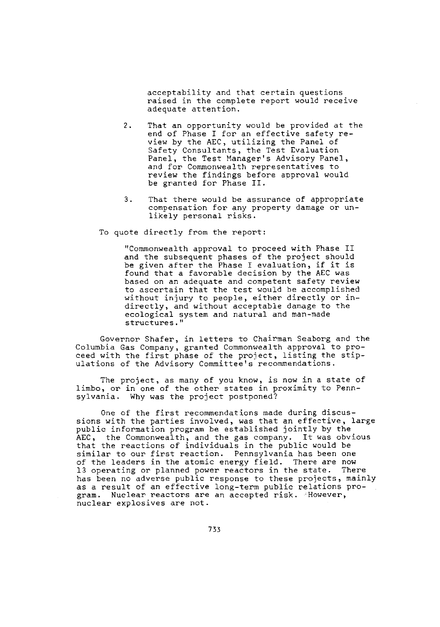acceptability and that certain questions raised in the complete report would receive adequate attention.

- 2. That an opportunity would be provided at the end of Phase I for an effective safety review by the AEC, utilizing the Panel of Safety Consultants, the Test Evaluation Panel, the Test Manager's Advisory Panel, and for Commonwealth representatives to review the findings before aproval would be granted for Phase II.
- 3. That there would be assurance of appropriate compensation for any property damage or unlikely personal risks.

To quote directly from the report:

"Commonwealth approval to proceed with Phase II and the subsequent phases of the project should be given after the Phase I evaluation, if it is found that a favorable decision by the AEC was based on an adequate and competent safety review to ascertain that the test would be accomplished without injury to people, either directly or indirectly, and without acceptable damage to the ecological system and natural and man-made structures."

Governor Shafer, in letters to Chairman Seaborg and the Columbia Gas Company, granted Commonwealth approval to proceed with the first phase of the project, listing the stipulations of the Advisory Committee's recommendations.

The project, as many of you know, is now in a state of limbo, or in one of the other states in proximity to Pennsylvania. Why was the project postponed?

One of the first recommendations made during discussions with the parties involved, was that an effective, large public information program be established jointly by the AEC, the Commonwealth, and the gas company. It was obvious that the reactions of individuals in the public would be similar to our first reaction. Pennsylvania has been one of the leaders in the atomic energy field. There are now 13 operating or planned power reactors in the state. There has been no adverse public response to these projects, mainly as a result of an effective long-term public relations pogram. Nuclear reactors are an accepted risk. However, nuclear explosives are not.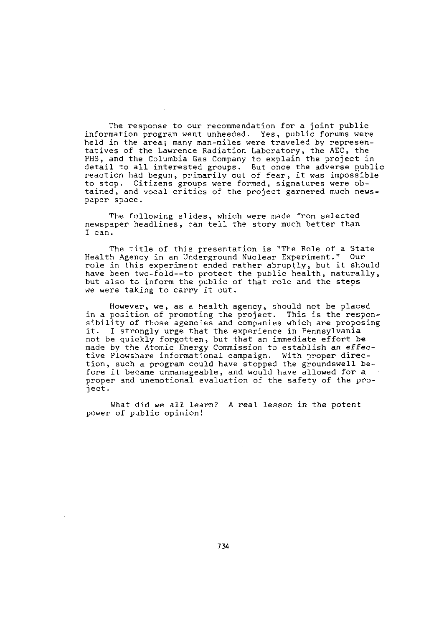The response to our recommendation for a joint public information program went unheeded. Yes, public forums were held in the area; many man-miles were traveled by representatives of the Lawrence Radiation Laboratory, the AEC, the PHS, and the Columbia Gas Company to explain the project in<br>detail to all interested groups. But once the adverse public<br>reaction had begun, primarily out of fear, it was impossible to stop. Citizens groups were formed, signatures were obtained, and vocal critics of the project garnered much newspaper space.

The following slides, which were made from selected newspaper headlines, can tell the story much better than I can.

The title of this presentation is "The Role of a State Health Agency in an Underground Nuclear Experiment." Our role in this experiment ended rather abruptly, but it should have been two-fold--to protect the public health, naturally, but also to inform the public of that role and the steps we were taking to carry it out.

However, we, as a health agency, should not be placed in a position of promoting the project. This is the responsibility of those agencies and companies which are proposing<br>it. I strongly urge that the experience in Pennsylvania I strongly urge that the experience in Pennsylvania not be quickly forgotten, but that an immediate effort be made by the Atomic Energy Commission to establish an effecmase of our income more informational campaign. With proper direc-<br>tion, such a program could have stopped the groundswell be fore it became unmanageable, and would have allowed for a proper and unemotional evaluation of the safety of the project.

What did we all learn? A real lesson in the potent power of public opinion!